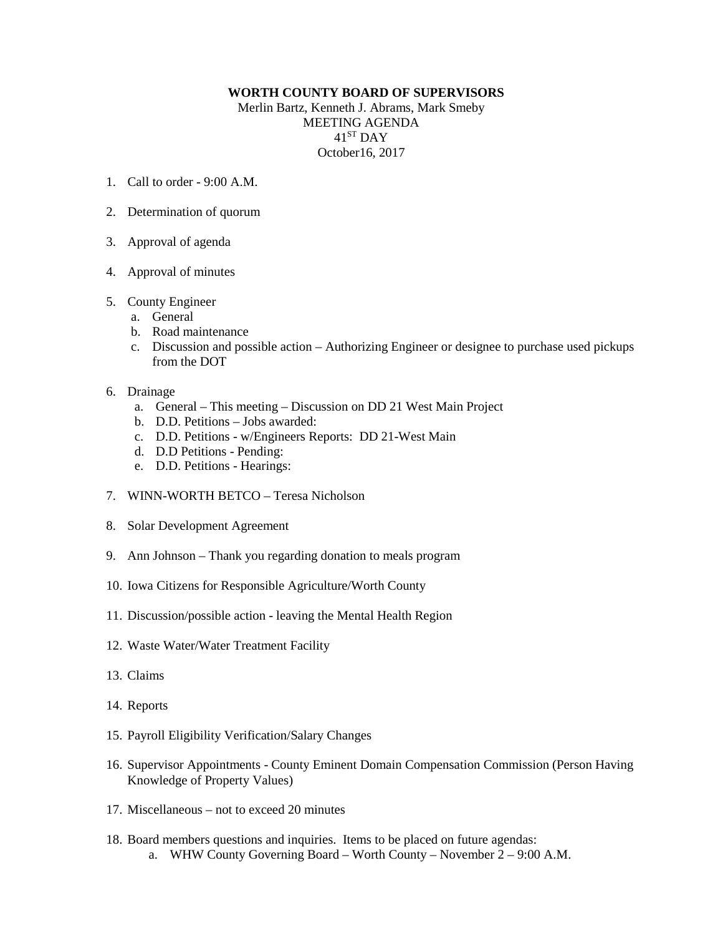## **WORTH COUNTY BOARD OF SUPERVISORS**

Merlin Bartz, Kenneth J. Abrams, Mark Smeby MEETING AGENDA 41ST DAY October16, 2017

- 1. Call to order 9:00 A.M.
- 2. Determination of quorum
- 3. Approval of agenda
- 4. Approval of minutes
- 5. County Engineer
	- a. General
	- b. Road maintenance
	- c. Discussion and possible action Authorizing Engineer or designee to purchase used pickups from the DOT
- 6. Drainage
	- a. General This meeting Discussion on DD 21 West Main Project
	- b. D.D. Petitions Jobs awarded:
	- c. D.D. Petitions w/Engineers Reports: DD 21-West Main
	- d. D.D Petitions Pending:
	- e. D.D. Petitions Hearings:
- 7. WINN-WORTH BETCO Teresa Nicholson
- 8. Solar Development Agreement
- 9. Ann Johnson Thank you regarding donation to meals program
- 10. Iowa Citizens for Responsible Agriculture/Worth County
- 11. Discussion/possible action leaving the Mental Health Region
- 12. Waste Water/Water Treatment Facility
- 13. Claims
- 14. Reports
- 15. Payroll Eligibility Verification/Salary Changes
- 16. Supervisor Appointments County Eminent Domain Compensation Commission (Person Having Knowledge of Property Values)
- 17. Miscellaneous not to exceed 20 minutes
- 18. Board members questions and inquiries. Items to be placed on future agendas: a. WHW County Governing Board – Worth County – November 2 – 9:00 A.M.